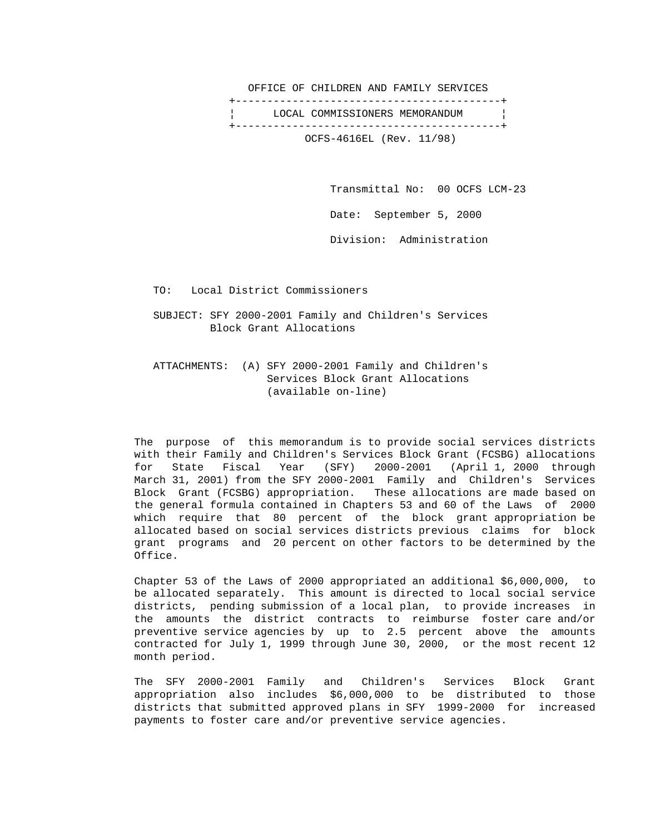OFFICE OF CHILDREN AND FAMILY SERVICES +------------------------------------------+ LOCAL COMMISSIONERS MEMORANDUM +------------------------------------------+ OCFS-4616EL (Rev. 11/98)

Transmittal No: 00 OCFS LCM-23

Date: September 5, 2000

Division: Administration

TO: Local District Commissioners

 SUBJECT: SFY 2000-2001 Family and Children's Services Block Grant Allocations

 ATTACHMENTS: (A) SFY 2000-2001 Family and Children's Services Block Grant Allocations (available on-line)

 The purpose of this memorandum is to provide social services districts with their Family and Children's Services Block Grant (FCSBG) allocations for State Fiscal Year (SFY) 2000-2001 (April 1, 2000 through March 31, 2001) from the SFY 2000-2001 Family and Children's Services Block Grant (FCSBG) appropriation. These allocations are made based on the general formula contained in Chapters 53 and 60 of the Laws of 2000 which require that 80 percent of the block grant appropriation be allocated based on social services districts previous claims for block grant programs and 20 percent on other factors to be determined by the Office.

 Chapter 53 of the Laws of 2000 appropriated an additional \$6,000,000, to be allocated separately. This amount is directed to local social service districts, pending submission of a local plan, to provide increases in the amounts the district contracts to reimburse foster care and/or preventive service agencies by up to 2.5 percent above the amounts contracted for July 1, 1999 through June 30, 2000, or the most recent 12 month period.

 The SFY 2000-2001 Family and Children's Services Block Grant appropriation also includes \$6,000,000 to be distributed to those districts that submitted approved plans in SFY 1999-2000 for increased payments to foster care and/or preventive service agencies.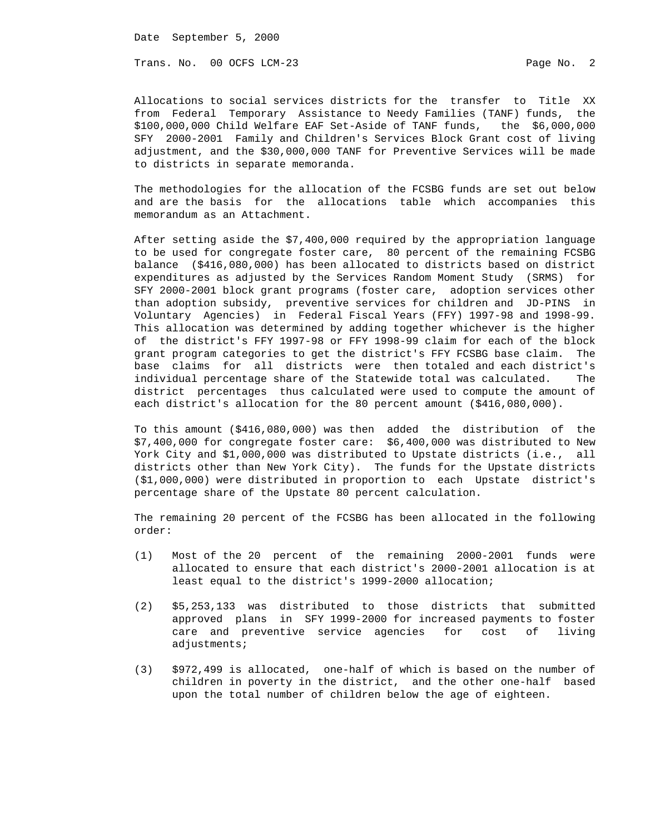Date September 5, 2000

Trans. No. 00 OCFS LCM-23 Page No. 2

 Allocations to social services districts for the transfer to Title XX from Federal Temporary Assistance to Needy Families (TANF) funds, the \$100,000,000 Child Welfare EAF Set-Aside of TANF funds, the \$6,000,000 SFY 2000-2001 Family and Children's Services Block Grant cost of living adjustment, and the \$30,000,000 TANF for Preventive Services will be made to districts in separate memoranda.

 The methodologies for the allocation of the FCSBG funds are set out below and are the basis for the allocations table which accompanies this memorandum as an Attachment.

 After setting aside the \$7,400,000 required by the appropriation language to be used for congregate foster care, 80 percent of the remaining FCSBG balance (\$416,080,000) has been allocated to districts based on district expenditures as adjusted by the Services Random Moment Study (SRMS) for SFY 2000-2001 block grant programs (foster care, adoption services other than adoption subsidy, preventive services for children and JD-PINS in Voluntary Agencies) in Federal Fiscal Years (FFY) 1997-98 and 1998-99. This allocation was determined by adding together whichever is the higher of the district's FFY 1997-98 or FFY 1998-99 claim for each of the block grant program categories to get the district's FFY FCSBG base claim. The base claims for all districts were then totaled and each district's individual percentage share of the Statewide total was calculated. The district percentages thus calculated were used to compute the amount of each district's allocation for the 80 percent amount (\$416,080,000).

 To this amount (\$416,080,000) was then added the distribution of the \$7,400,000 for congregate foster care: \$6,400,000 was distributed to New York City and \$1,000,000 was distributed to Upstate districts (i.e., all districts other than New York City). The funds for the Upstate districts (\$1,000,000) were distributed in proportion to each Upstate district's percentage share of the Upstate 80 percent calculation.

 The remaining 20 percent of the FCSBG has been allocated in the following order:

- (1) Most of the 20 percent of the remaining 2000-2001 funds were allocated to ensure that each district's 2000-2001 allocation is at least equal to the district's 1999-2000 allocation;
- (2) \$5,253,133 was distributed to those districts that submitted approved plans in SFY 1999-2000 for increased payments to foster care and preventive service agencies for cost of living adjustments;
- (3) \$972,499 is allocated, one-half of which is based on the number of children in poverty in the district, and the other one-half based upon the total number of children below the age of eighteen.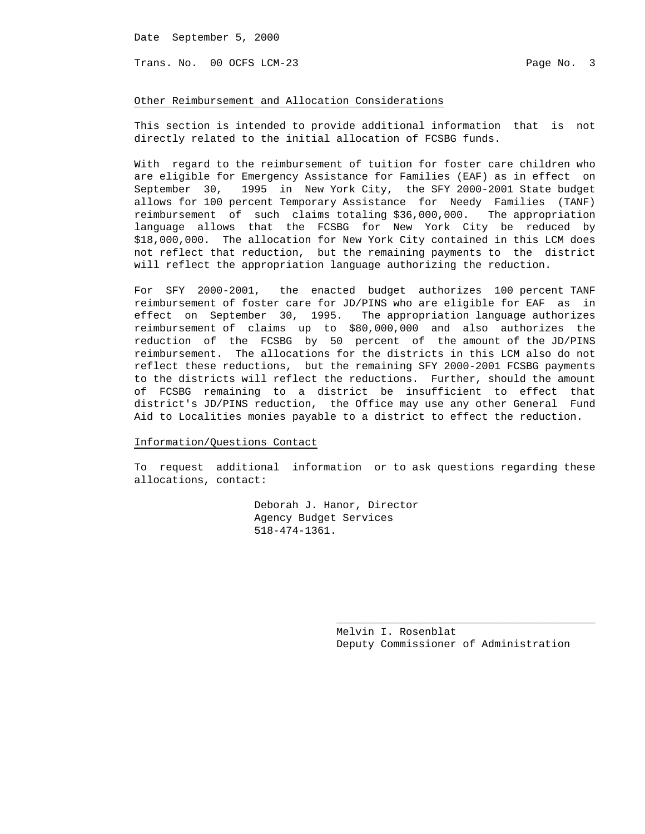Date September 5, 2000

Trans. No. 00 OCFS LCM-23 Page No. 3

### Other Reimbursement and Allocation Considerations

 This section is intended to provide additional information that is not directly related to the initial allocation of FCSBG funds.

 With regard to the reimbursement of tuition for foster care children who are eligible for Emergency Assistance for Families (EAF) as in effect on September 30, 1995 in New York City, the SFY 2000-2001 State budget allows for 100 percent Temporary Assistance for Needy Families (TANF) reimbursement of such claims totaling \$36,000,000. The appropriation language allows that the FCSBG for New York City be reduced by \$18,000,000. The allocation for New York City contained in this LCM does not reflect that reduction, but the remaining payments to the district will reflect the appropriation language authorizing the reduction.

 For SFY 2000-2001, the enacted budget authorizes 100 percent TANF reimbursement of foster care for JD/PINS who are eligible for EAF as in effect on September 30, 1995. The appropriation language authorizes reimbursement of claims up to \$80,000,000 and also authorizes the reduction of the FCSBG by 50 percent of the amount of the JD/PINS reimbursement. The allocations for the districts in this LCM also do not reflect these reductions, but the remaining SFY 2000-2001 FCSBG payments to the districts will reflect the reductions. Further, should the amount of FCSBG remaining to a district be insufficient to effect that district's JD/PINS reduction, the Office may use any other General Fund Aid to Localities monies payable to a district to effect the reduction.

### Information/Questions Contact

 To request additional information or to ask questions regarding these allocations, contact:

> Deborah J. Hanor, Director Agency Budget Services 518-474-1361.

 $\overline{\phantom{a}}$  , and the contract of the contract of the contract of the contract of the contract of the contract of the contract of the contract of the contract of the contract of the contract of the contract of the contrac

 Melvin I. Rosenblat Deputy Commissioner of Administration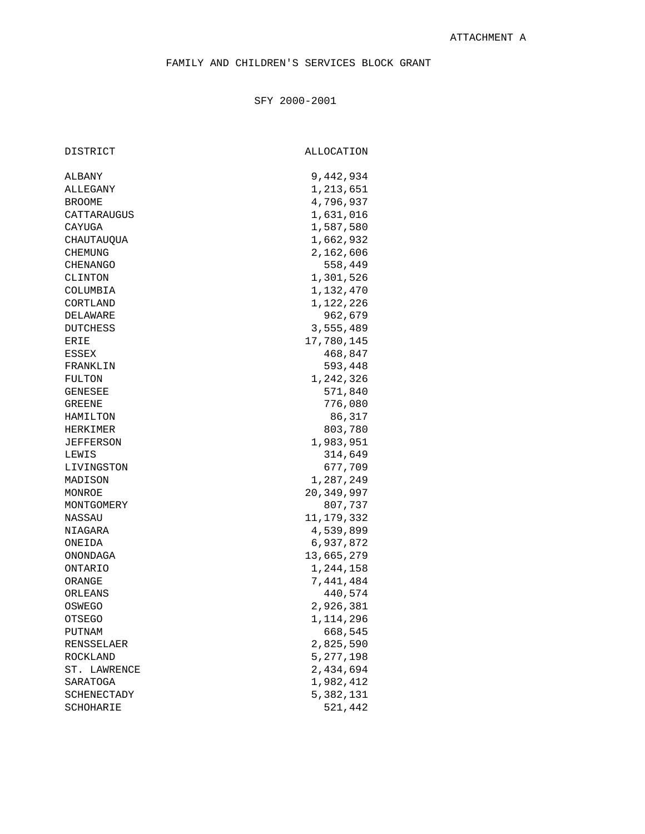### SFY 2000-2001

DISTRICT ALLOCATION

| ALBANY       | 9,442,934    |
|--------------|--------------|
| ALLEGANY     | 1,213,651    |
| BROOME       | 4,796,937    |
| CATTARAUGUS  | 1,631,016    |
| CAYUGA       | 1,587,580    |
| CHAUTAUQUA   | 1,662,932    |
| CHEMUNG      | 2,162,606    |
| CHENANGO     | 558,449      |
| CLINTON      | 1,301,526    |
| COLUMBIA     | 1,132,470    |
| CORTLAND     | 1,122,226    |
| DELAWARE     | 962,679      |
| DUTCHESS     | 3,555,489    |
| ERIE         | 17,780,145   |
| ESSEX        | 468,847      |
| FRANKLIN     | 593,448      |
| FULTON       | 1,242,326    |
| GENESEE      | 571,840      |
| GREENE       | 776,080      |
| HAMILTON     | 86,317       |
| HERKIMER     | 803,780      |
| JEFFERSON    | 1,983,951    |
| LEWIS        | 314,649      |
| LIVINGSTON   | 677,709      |
| MADISON      | 1,287,249    |
| MONROE       | 20,349,997   |
| MONTGOMERY   | 807,737      |
| NASSAU       | 11, 179, 332 |
| NIAGARA      | 4,539,899    |
| ONEIDA       | 6,937,872    |
| ONONDAGA     | 13,665,279   |
| ONTARIO      | 1,244,158    |
| ORANGE       | 7,441,484    |
| ORLEANS      | 440,574      |
| OSWEGO       | 2,926,381    |
| OTSEGO       | 1,114,296    |
| PUTNAM       | 668,545      |
| RENSSELAER   | 2,825,590    |
| ROCKLAND     | 5, 277, 198  |
| ST. LAWRENCE | 2,434,694    |
| SARATOGA     | 1,982,412    |
| SCHENECTADY  | 5,382,131    |
| SCHOHARIE    | 521,442      |